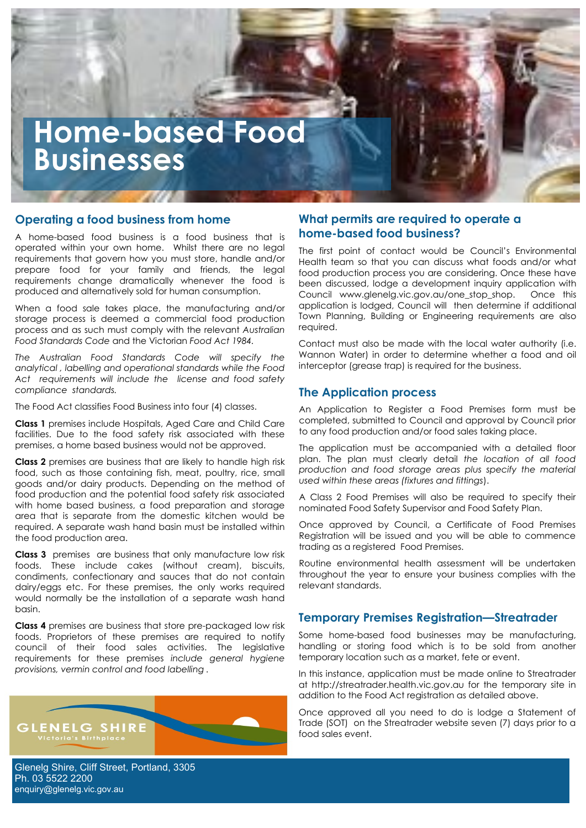# **Home-based Food Businesses**

#### **Operating a food business from home**

**CONTRACTOR** 

A home-based food business is a food business that is operated within your own home. Whilst there are no legal requirements that govern how you must store, handle and/or prepare food for your family and friends, the legal requirements change dramatically whenever the food is produced and alternatively sold for human consumption.

When a food sale takes place, the manufacturing and/or storage process is deemed a commercial food production process and as such must comply with the relevant *Australian Food Standards Code* and the Victorian *Food Act 1984.*

*The Australian Food Standards Code will specify the analytical , labelling and operational standards while the Food Act requirements will include the license and food safety compliance standards.*

The Food Act classifies Food Business into four (4) classes.

**Class 1** premises include Hospitals, Aged Care and Child Care facilities. Due to the food safety risk associated with these premises, a home based business would not be approved.

**Class 2** premises are business that are likely to handle high risk food, such as those containing fish, meat, poultry, rice, small goods and/or dairy products. Depending on the method of food production and the potential food safety risk associated with home based business, a food preparation and storage area that is separate from the domestic kitchen would be required. A separate wash hand basin must be installed within the food production area.

**Class 3** premises are business that only manufacture low risk foods. These include cakes (without cream), biscuits, condiments, confectionary and sauces that do not contain dairy/eggs etc. For these premises, the only works required would normally be the installation of a separate wash hand basin.

**Class 4** premises are business that store pre-packaged low risk foods. Proprietors of these premises are required to notify council of their food sales activities. The legislative requirements for these premises *include general hygiene provisions, vermin control and food labelling .*



Glenelg Shire, Cliff Street, Portland, 3305 Ph. 03 5522 2200 enquiry@glenelg.vic.gov.au

# **What permits are required to operate a home-based food business?**

The first point of contact would be Council's Environmental Health team so that you can discuss what foods and/or what food production process you are considering. Once these have been discussed, lodge a development inquiry application with Council www.glenelg.vic.gov.au/one\_stop\_shop. Once this application is lodged, Council will then determine if additional Town Planning, Building or Engineering requirements are also required.

Contact must also be made with the local water authority (i.e. Wannon Water) in order to determine whether a food and oil interceptor (grease trap) is required for the business.

#### **The Application process**

An Application to Register a Food Premises form must be completed, submitted to Council and approval by Council prior to any food production and/or food sales taking place.

The application must be accompanied with a detailed floor plan. The plan must clearly detail *the location of all food production and food storage areas plus specify the material used within these areas (fixtures and fittings*).

A Class 2 Food Premises will also be required to specify their nominated Food Safety Supervisor and Food Safety Plan.

Once approved by Council, a Certificate of Food Premises Registration will be issued and you will be able to commence trading as a registered Food Premises.

Routine environmental health assessment will be undertaken throughout the year to ensure your business complies with the relevant standards.

#### **Temporary Premises Registration—Streatrader**

Some home-based food businesses may be manufacturing, handling or storing food which is to be sold from another temporary location such as a market, fete or event.

In this instance, application must be made online to Streatrader at http://streatrader.health.vic.gov.au for the temporary site in addition to the Food Act registration as detailed above.

Once approved all you need to do is lodge a Statement of Trade (SOT) on the Streatrader website seven (7) days prior to a food sales event.